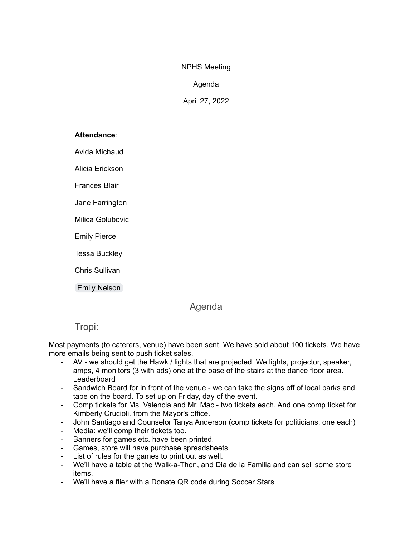NPHS Meeting

### Agenda

April 27, 2022

#### **Attendance**:

Avida Michaud

Alicia Erickson

Frances Blair

Jane Farrington

Milica Golubovic

Emily Pierce

Tessa Buckley

Chris Sullivan

Emily [Nelson](mailto:enelson@abramscapital.com)

# Agenda

# Tropi:

Most payments (to caterers, venue) have been sent. We have sold about 100 tickets. We have more emails being sent to push ticket sales.

- AV we should get the Hawk / lights that are projected. We lights, projector, speaker, amps, 4 monitors (3 with ads) one at the base of the stairs at the dance floor area. Leaderboard
- Sandwich Board for in front of the venue we can take the signs off of local parks and tape on the board. To set up on Friday, day of the event.
- Comp tickets for Ms. Valencia and Mr. Mac two tickets each. And one comp ticket for Kimberly Crucioli. from the Mayor's office.
- John Santiago and Counselor Tanya Anderson (comp tickets for politicians, one each)
- Media: we'll comp their tickets too.
- Banners for games etc. have been printed.
- Games, store will have purchase spreadsheets
- List of rules for the games to print out as well.
- We'll have a table at the Walk-a-Thon, and Dia de la Familia and can sell some store items.
- We'll have a flier with a Donate QR code during Soccer Stars